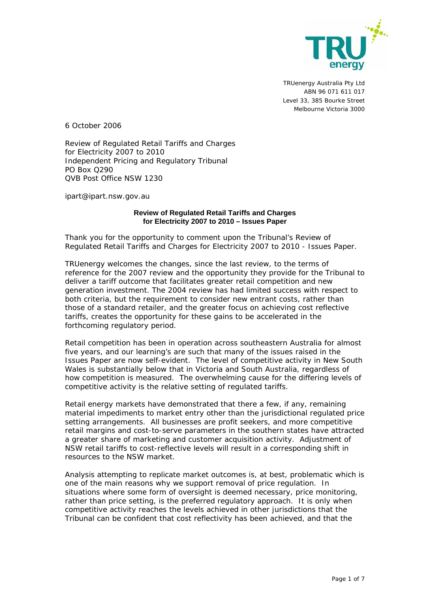

TRUenergy Australia Pty Ltd ABN 96 071 611 017 Level 33, 385 Bourke Street Melbourne Victoria 3000

6 October 2006

Review of Regulated Retail Tariffs and Charges for Electricity 2007 to 2010 Independent Pricing and Regulatory Tribunal PO Box Q290 QVB Post Office NSW 1230

ipart@ipart.nsw.gov.au

#### **Review of Regulated Retail Tariffs and Charges for Electricity 2007 to 2010 – Issues Paper**

Thank you for the opportunity to comment upon the Tribunal's *Review of Regulated Retail Tariffs and Charges for Electricity 2007 to 2010 - Issues Paper*.

TRUenergy welcomes the changes, since the last review, to the terms of reference for the 2007 review and the opportunity they provide for the Tribunal to deliver a tariff outcome that facilitates greater retail competition and new generation investment. The 2004 review has had limited success with respect to both criteria, but the requirement to consider new entrant costs, rather than those of a standard retailer, and the greater focus on achieving cost reflective tariffs, creates the opportunity for these gains to be accelerated in the forthcoming regulatory period.

Retail competition has been in operation across southeastern Australia for almost five years, and our learning's are such that many of the issues raised in the Issues Paper are now self-evident. The level of competitive activity in New South Wales is substantially below that in Victoria and South Australia, regardless of how competition is measured. The overwhelming cause for the differing levels of competitive activity is the relative setting of regulated tariffs.

Retail energy markets have demonstrated that there a few, if any, remaining material impediments to market entry other than the jurisdictional regulated price setting arrangements. All businesses are profit seekers, and more competitive retail margins and cost-to-serve parameters in the southern states have attracted a greater share of marketing and customer acquisition activity. Adjustment of NSW retail tariffs to cost-reflective levels will result in a corresponding shift in resources to the NSW market.

Analysis attempting to replicate market outcomes is, at best, problematic which is one of the main reasons why we support removal of price regulation. In situations where some form of oversight is deemed necessary, price monitoring, rather than price setting, is the preferred regulatory approach. It is only when competitive activity reaches the levels achieved in other jurisdictions that the Tribunal can be confident that cost reflectivity has been achieved, and that the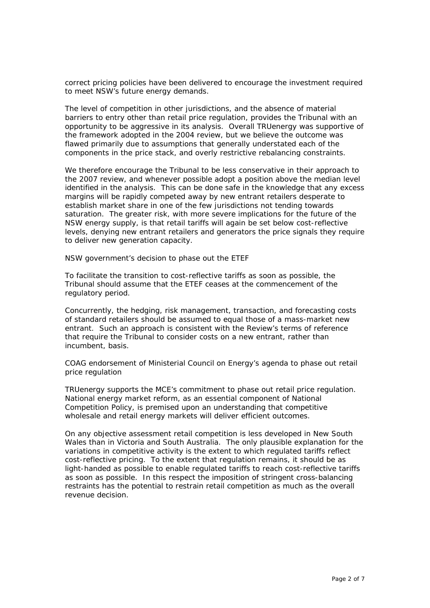correct pricing policies have been delivered to encourage the investment required to meet NSW's future energy demands.

The level of competition in other jurisdictions, and the absence of material barriers to entry other than retail price regulation, provides the Tribunal with an opportunity to be aggressive in its analysis. Overall TRUenergy was supportive of the framework adopted in the 2004 review, but we believe the outcome was flawed primarily due to assumptions that generally understated each of the components in the price stack, and overly restrictive rebalancing constraints.

We therefore encourage the Tribunal to be less conservative in their approach to the 2007 review, and whenever possible adopt a position above the median level identified in the analysis. This can be done safe in the knowledge that any excess margins will be rapidly competed away by new entrant retailers desperate to establish market share in one of the few jurisdictions not tending towards saturation. The greater risk, with more severe implications for the future of the NSW energy supply, is that retail tariffs will again be set below cost-reflective levels, denying new entrant retailers and generators the price signals they require to deliver new generation capacity.

#### *NSW government's decision to phase out the ETEF*

To facilitate the transition to cost-reflective tariffs as soon as possible, the Tribunal should assume that the ETEF ceases at the commencement of the regulatory period.

Concurrently, the hedging, risk management, transaction, and forecasting costs of standard retailers should be assumed to equal those of a mass-market new entrant. Such an approach is consistent with the Review's terms of reference that require the Tribunal to consider costs on a new entrant, rather than incumbent, basis.

## *COAG endorsement of Ministerial Council on Energy's agenda to phase out retail price regulation*

TRUenergy supports the MCE's commitment to phase out retail price regulation. National energy market reform, as an essential component of National Competition Policy, is premised upon an understanding that competitive wholesale and retail energy markets will deliver efficient outcomes.

On any objective assessment retail competition is less developed in New South Wales than in Victoria and South Australia. The only plausible explanation for the variations in competitive activity is the extent to which regulated tariffs reflect cost-reflective pricing. To the extent that regulation remains, it should be as light-handed as possible to enable regulated tariffs to reach cost-reflective tariffs as soon as possible. In this respect the imposition of stringent cross-balancing restraints has the potential to restrain retail competition as much as the overall revenue decision.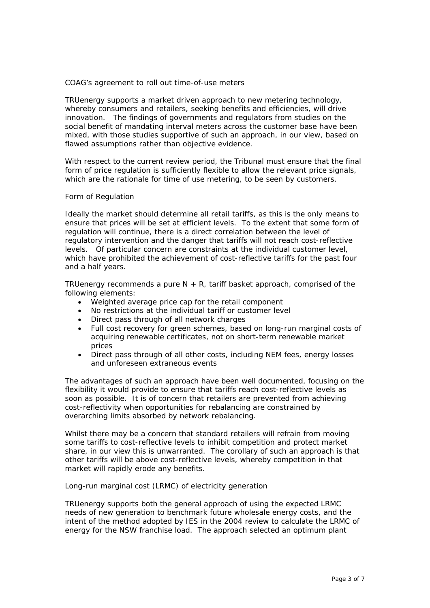## *COAG's agreement to roll out time-of-use meters*

TRUenergy supports a market driven approach to new metering technology, whereby consumers and retailers, seeking benefits and efficiencies, will drive innovation. The findings of governments and regulators from studies on the social benefit of mandating interval meters across the customer base have been mixed, with those studies supportive of such an approach, in our view, based on flawed assumptions rather than objective evidence.

With respect to the current review period, the Tribunal must ensure that the final form of price regulation is sufficiently flexible to allow the relevant price signals, which are the rationale for time of use metering, to be seen by customers.

## *Form of Regulation*

Ideally the market should determine all retail tariffs, as this is the only means to ensure that prices will be set at efficient levels. To the extent that some form of regulation will continue, there is a direct correlation between the level of regulatory intervention and the danger that tariffs will not reach cost-reflective levels. Of particular concern are constraints at the individual customer level, which have prohibited the achievement of cost-reflective tariffs for the past four and a half years.

TRUenergy recommends a pure  $N + R$ , tariff basket approach, comprised of the following elements:

- Weighted average price cap for the retail component
- No restrictions at the individual tariff or customer level
- Direct pass through of all network charges
- Full cost recovery for green schemes, based on long-run marginal costs of acquiring renewable certificates, not on short-term renewable market prices
- Direct pass through of all other costs, including NEM fees, energy losses and unforeseen extraneous events

The advantages of such an approach have been well documented, focusing on the flexibility it would provide to ensure that tariffs reach cost-reflective levels as soon as possible. It is of concern that retailers are prevented from achieving cost-reflectivity when opportunities for rebalancing are constrained by overarching limits absorbed by network rebalancing.

Whilst there may be a concern that standard retailers will refrain from moving some tariffs to cost-reflective levels to inhibit competition and protect market share, in our view this is unwarranted. The corollary of such an approach is that other tariffs will be above cost-reflective levels, whereby competition in that market will rapidly erode any benefits.

#### *Long-run marginal cost (LRMC) of electricity generation*

TRUenergy supports both the general approach of using the expected LRMC needs of new generation to benchmark future wholesale energy costs, and the intent of the method adopted by IES in the 2004 review to calculate the LRMC of energy for the NSW franchise load. The approach selected an optimum plant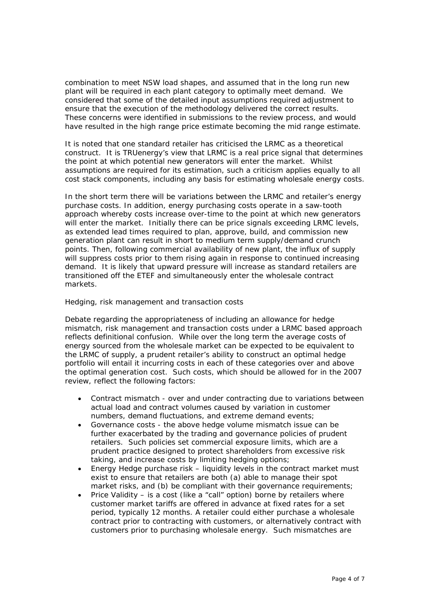combination to meet NSW load shapes, and assumed that in the long run new plant will be required in each plant category to optimally meet demand. We considered that some of the detailed input assumptions required adjustment to ensure that the execution of the methodology delivered the correct results. These concerns were identified in submissions to the review process, and would have resulted in the high range price estimate becoming the mid range estimate.

It is noted that one standard retailer has criticised the LRMC as a theoretical construct. It is TRUenergy's view that LRMC is a real price signal that determines the point at which potential new generators will enter the market. Whilst assumptions are required for its estimation, such a criticism applies equally to all cost stack components, including any basis for estimating wholesale energy costs.

In the short term there will be variations between the LRMC and retailer's energy purchase costs. In addition, energy purchasing costs operate in a saw-tooth approach whereby costs increase over-time to the point at which new generators will enter the market. Initially there can be price signals exceeding LRMC levels, as extended lead times required to plan, approve, build, and commission new generation plant can result in short to medium term supply/demand crunch points. Then, following commercial availability of new plant, the influx of supply will suppress costs prior to them rising again in response to continued increasing demand. It is likely that upward pressure will increase as standard retailers are transitioned off the ETEF and simultaneously enter the wholesale contract markets.

## *Hedging, risk management and transaction costs*

Debate regarding the appropriateness of including an allowance for hedge mismatch, risk management and transaction costs under a LRMC based approach reflects definitional confusion. While over the long term the average costs of energy sourced from the wholesale market can be expected to be equivalent to the LRMC of supply, a prudent retailer's ability to construct an optimal hedge portfolio will entail it incurring costs in each of these categories over and above the optimal generation cost. Such costs, which should be allowed for in the 2007 review, reflect the following factors:

- Contract mismatch over and under contracting due to variations between actual load and contract volumes caused by variation in customer numbers, demand fluctuations, and extreme demand events;
- Governance costs the above hedge volume mismatch issue can be further exacerbated by the trading and governance policies of prudent retailers. Such policies set commercial exposure limits, which are a prudent practice designed to protect shareholders from excessive risk taking, and increase costs by limiting hedging options;
- Energy Hedge purchase risk liquidity levels in the contract market must exist to ensure that retailers are both (a) able to manage their spot market risks, and (b) be compliant with their governance requirements;
- Price Validity is a cost (like a "call" option) borne by retailers where customer market tariffs are offered in advance at fixed rates for a set period, typically 12 months. A retailer could either purchase a wholesale contract prior to contracting with customers, or alternatively contract with customers prior to purchasing wholesale energy. Such mismatches are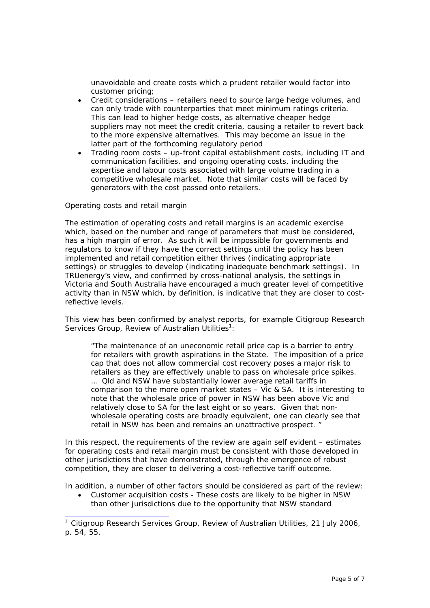unavoidable and create costs which a prudent retailer would factor into customer pricing;

- Credit considerations retailers need to source large hedge volumes, and can only trade with counterparties that meet minimum ratings criteria. This can lead to higher hedge costs, as alternative cheaper hedge suppliers may not meet the credit criteria, causing a retailer to revert back to the more expensive alternatives. This may become an issue in the latter part of the forthcoming regulatory period
- Trading room costs up-front capital establishment costs, including IT and communication facilities, and ongoing operating costs, including the expertise and labour costs associated with large volume trading in a competitive wholesale market. Note that similar costs will be faced by generators with the cost passed onto retailers.

#### *Operating costs and retail margin*

The estimation of operating costs and retail margins is an academic exercise which, based on the number and range of parameters that must be considered, has a high margin of error. As such it will be impossible for governments and regulators to know if they have the correct settings until the policy has been implemented and retail competition either thrives (indicating appropriate settings) or struggles to develop (indicating inadequate benchmark settings). In TRUenergy's view, and confirmed by cross-national analysis, the settings in Victoria and South Australia have encouraged a much greater level of competitive activity than in NSW which, by definition, is indicative that they are closer to costreflective levels.

This view has been confirmed by analyst reports, for example Citigroup Research Services Group, Review of Australian Utilities<sup>1</sup>:

*"The maintenance of an uneconomic retail price cap is a barrier to entry for retailers with growth aspirations in the State. The imposition of a price cap that does not allow commercial cost recovery poses a major risk to retailers as they are effectively unable to pass on wholesale price spikes. … Qld and NSW have substantially lower average retail tariffs in comparison to the more open market states – Vic & SA. It is interesting to note that the wholesale price of power in NSW has been above Vic and relatively close to SA for the last eight or so years. Given that nonwholesale operating costs are broadly equivalent, one can clearly see that retail in NSW has been and remains an unattractive prospect. "* 

In this respect, the requirements of the review are again self evident – estimates for operating costs and retail margin must be consistent with those developed in other jurisdictions that have demonstrated, through the emergence of robust competition, they are closer to delivering a cost-reflective tariff outcome.

In addition, a number of other factors should be considered as part of the review:

• Customer acquisition costs - These costs are likely to be higher in NSW than other jurisdictions due to the opportunity that NSW standard

<sup>&</sup>lt;sup>1</sup> Citigroup Research Services Group, Review of Australian Utilities, 21 July 2006, p. 54, 55.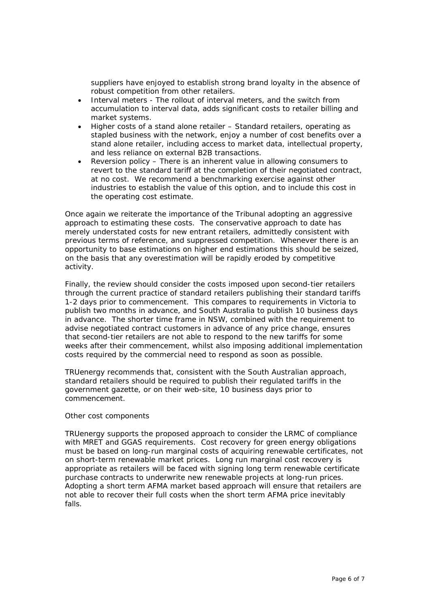suppliers have enjoyed to establish strong brand loyalty in the absence of robust competition from other retailers.

- Interval meters The rollout of interval meters, and the switch from accumulation to interval data, adds significant costs to retailer billing and market systems.
- Higher costs of a stand alone retailer Standard retailers, operating as stapled business with the network, enjoy a number of cost benefits over a stand alone retailer, including access to market data, intellectual property, and less reliance on external B2B transactions.
- Reversion policy There is an inherent value in allowing consumers to revert to the standard tariff at the completion of their negotiated contract, at no cost. We recommend a benchmarking exercise against other industries to establish the value of this option, and to include this cost in the operating cost estimate.

Once again we reiterate the importance of the Tribunal adopting an aggressive approach to estimating these costs. The conservative approach to date has merely understated costs for new entrant retailers, admittedly consistent with previous terms of reference, and suppressed competition. Whenever there is an opportunity to base estimations on higher end estimations this should be seized, on the basis that any overestimation will be rapidly eroded by competitive activity.

Finally, the review should consider the costs imposed upon second-tier retailers through the current practice of standard retailers publishing their standard tariffs 1-2 days prior to commencement. This compares to requirements in Victoria to publish two months in advance, and South Australia to publish 10 business days in advance. The shorter time frame in NSW, combined with the requirement to advise negotiated contract customers in advance of any price change, ensures that second-tier retailers are not able to respond to the new tariffs for some weeks after their commencement, whilst also imposing additional implementation costs required by the commercial need to respond as soon as possible.

TRUenergy recommends that, consistent with the South Australian approach, standard retailers should be required to publish their regulated tariffs in the government gazette, or on their web-site, 10 business days prior to commencement.

# *Other cost components*

TRUenergy supports the proposed approach to consider the LRMC of compliance with MRET and GGAS requirements. Cost recovery for green energy obligations must be based on long-run marginal costs of acquiring renewable certificates, not on short-term renewable market prices. Long run marginal cost recovery is appropriate as retailers will be faced with signing long term renewable certificate purchase contracts to underwrite new renewable projects at long-run prices. Adopting a short term AFMA market based approach will ensure that retailers are not able to recover their full costs when the short term AFMA price inevitably falls.